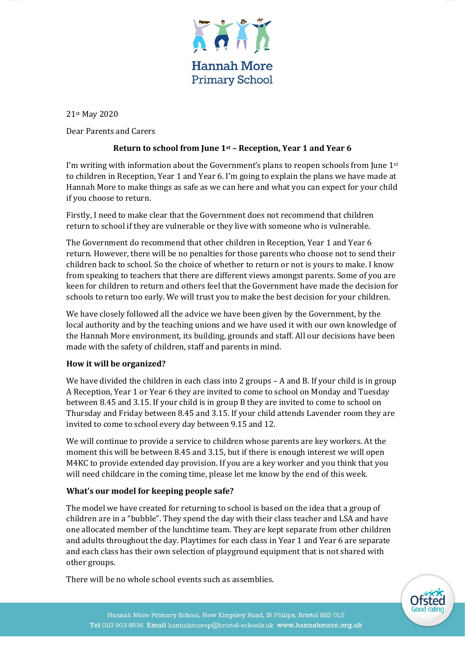

21st May 2020

Dear Parents and Carers

## **Return to school from June 1st – Reception, Year 1 and Year 6**

I'm writing with information about the Government's plans to reopen schools from June  $1<sup>st</sup>$ to children in Reception, Year 1 and Year 6. I'm going to explain the plans we have made at Hannah More to make things as safe as we can here and what you can expect for your child if you choose to return.

Firstly, I need to make clear that the Government does not recommend that children return to school if they are vulnerable or they live with someone who is vulnerable.

The Government do recommend that other children in Reception, Year 1 and Year 6 return. However, there will be no penalties for those parents who choose not to send their children back to school. So the choice of whether to return or not is yours to make. I know from speaking to teachers that there are different views amongst parents. Some of you are keen for children to return and others feel that the Government have made the decision for schools to return too early. We will trust you to make the best decision for your children.

We have closely followed all the advice we have been given by the Government, by the local authority and by the teaching unions and we have used it with our own knowledge of the Hannah More environment, its building, grounds and staff. All our decisions have been made with the safety of children, staff and parents in mind.

## **How it will be organized?**

We have divided the children in each class into 2 groups – A and B. If your child is in group A Reception, Year 1 or Year 6 they are invited to come to school on Monday and Tuesday between 8.45 and 3.15. If your child is in group B they are invited to come to school on Thursday and Friday between 8.45 and 3.15. If your child attends Lavender room they are invited to come to school every day between 9.15 and 12.

We will continue to provide a service to children whose parents are key workers. At the moment this will be between 8.45 and 3.15, but if there is enough interest we will open M4KC to provide extended day provision. If you are a key worker and you think that you will need childcare in the coming time, please let me know by the end of this week.

## **What's our model for keeping people safe?**

The model we have created for returning to school is based on the idea that a group of children are in a "bubble". They spend the day with their class teacher and LSA and have one allocated member of the lunchtime team. They are kept separate from other children and adults throughout the day. Playtimes for each class in Year 1 and Year 6 are separate and each class has their own selection of playground equipment that is not shared with other groups.

There will be no whole school events such as assemblies.

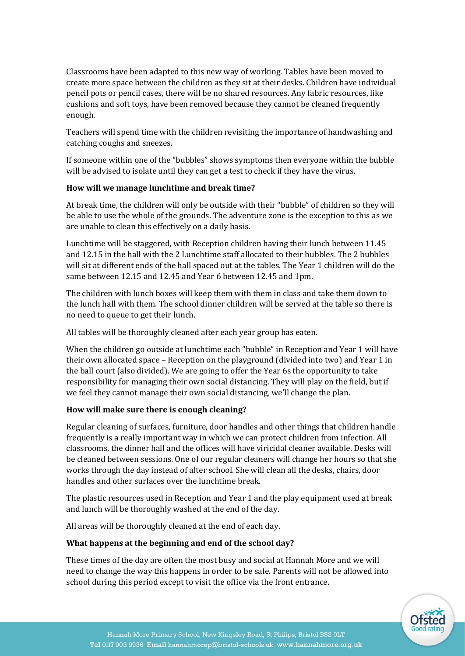Classrooms have been adapted to this new way of working. Tables have been moved to create more space between the children as they sit at their desks. Children have individual pencil pots or pencil cases, there will be no shared resources. Any fabric resources, like cushions and soft toys, have been removed because they cannot be cleaned frequently enough.

Teachers will spend time with the children revisiting the importance of handwashing and catching coughs and sneezes.

If someone within one of the "bubbles" shows symptoms then everyone within the bubble will be advised to isolate until they can get a test to check if they have the virus.

# **How will we manage lunchtime and break time?**

At break time, the children will only be outside with their "bubble" of children so they will be able to use the whole of the grounds. The adventure zone is the exception to this as we are unable to clean this effectively on a daily basis.

Lunchtime will be staggered, with Reception children having their lunch between 11.45 and 12.15 in the hall with the 2 Lunchtime staff allocated to their bubbles. The 2 bubbles will sit at different ends of the hall spaced out at the tables. The Year 1 children will do the same between 12.15 and 12.45 and Year 6 between 12.45 and 1pm.

The children with lunch boxes will keep them with them in class and take them down to the lunch hall with them. The school dinner children will be served at the table so there is no need to queue to get their lunch.

All tables will be thoroughly cleaned after each year group has eaten.

When the children go outside at lunchtime each "bubble" in Reception and Year 1 will have their own allocated space – Reception on the playground (divided into two) and Year 1 in the ball court (also divided). We are going to offer the Year 6s the opportunity to take responsibility for managing their own social distancing. They will play on the field, but if we feel they cannot manage their own social distancing, we'll change the plan.

# **How will make sure there is enough cleaning?**

Regular cleaning of surfaces, furniture, door handles and other things that children handle frequently is a really important way in which we can protect children from infection. All classrooms, the dinner hall and the offices will have viricidal cleaner available. Desks will be cleaned between sessions. One of our regular cleaners will change her hours so that she works through the day instead of after school. She will clean all the desks, chairs, door handles and other surfaces over the lunchtime break.

The plastic resources used in Reception and Year 1 and the play equipment used at break and lunch will be thoroughly washed at the end of the day.

All areas will be thoroughly cleaned at the end of each day.

## **What happens at the beginning and end of the school day?**

These times of the day are often the most busy and social at Hannah More and we will need to change the way this happens in order to be safe. Parents will not be allowed into school during this period except to visit the office via the front entrance.

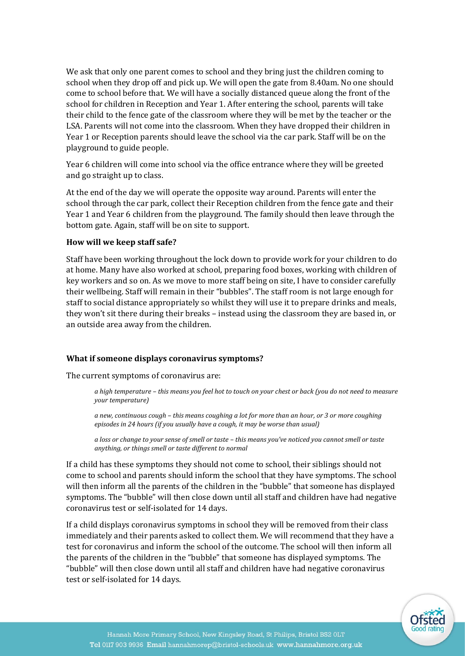We ask that only one parent comes to school and they bring just the children coming to school when they drop off and pick up. We will open the gate from 8.40am. No one should come to school before that. We will have a socially distanced queue along the front of the school for children in Reception and Year 1. After entering the school, parents will take their child to the fence gate of the classroom where they will be met by the teacher or the LSA. Parents will not come into the classroom. When they have dropped their children in Year 1 or Reception parents should leave the school via the car park. Staff will be on the playground to guide people.

Year 6 children will come into school via the office entrance where they will be greeted and go straight up to class.

At the end of the day we will operate the opposite way around. Parents will enter the school through the car park, collect their Reception children from the fence gate and their Year 1 and Year 6 children from the playground. The family should then leave through the bottom gate. Again, staff will be on site to support.

#### **How will we keep staff safe?**

Staff have been working throughout the lock down to provide work for your children to do at home. Many have also worked at school, preparing food boxes, working with children of key workers and so on. As we move to more staff being on site, I have to consider carefully their wellbeing. Staff will remain in their "bubbles". The staff room is not large enough for staff to social distance appropriately so whilst they will use it to prepare drinks and meals, they won't sit there during their breaks – instead using the classroom they are based in, or an outside area away from the children.

#### **What if someone displays coronavirus symptoms?**

The current symptoms of coronavirus are:

*a high temperature – this means you feel hot to touch on your chest or back (you do not need to measure your temperature)*

*a new, continuous cough – this means coughing a lot for more than an hour, or 3 or more coughing episodes in 24 hours (if you usually have a cough, it may be worse than usual)*

*a loss or change to your sense of smell or taste – this means you've noticed you cannot smell or taste anything, or things smell or taste different to normal*

If a child has these symptoms they should not come to school, their siblings should not come to school and parents should inform the school that they have symptoms. The school will then inform all the parents of the children in the "bubble" that someone has displayed symptoms. The "bubble" will then close down until all staff and children have had negative coronavirus test or self-isolated for 14 days.

If a child displays coronavirus symptoms in school they will be removed from their class immediately and their parents asked to collect them. We will recommend that they have a test for coronavirus and inform the school of the outcome. The school will then inform all the parents of the children in the "bubble" that someone has displayed symptoms. The "bubble" will then close down until all staff and children have had negative coronavirus test or self-isolated for 14 days.